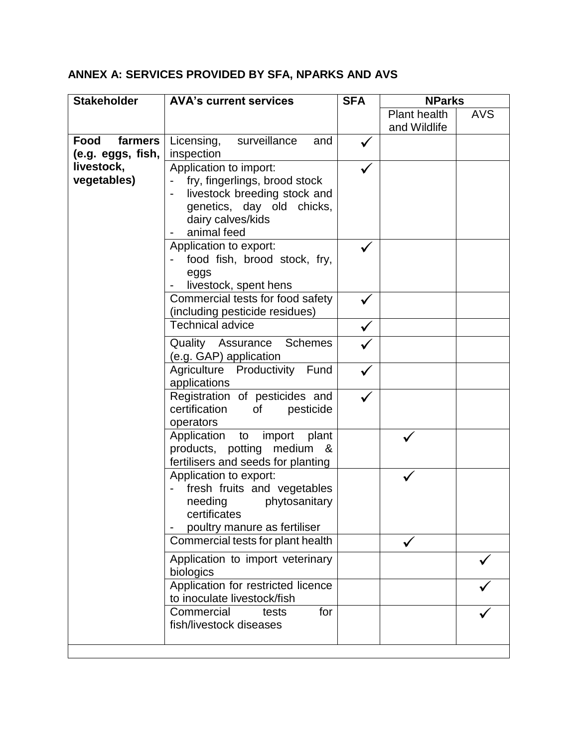## **ANNEX A: SERVICES PROVIDED BY SFA, NPARKS AND AVS**

| <b>Stakeholder</b>        | <b>AVA's current services</b>                                                                                                                                                      | <b>SFA</b> | <b>NParks</b>                |            |
|---------------------------|------------------------------------------------------------------------------------------------------------------------------------------------------------------------------------|------------|------------------------------|------------|
|                           |                                                                                                                                                                                    |            | Plant health<br>and Wildlife | <b>AVS</b> |
| <b>Food</b><br>farmers    | surveillance<br>and                                                                                                                                                                |            |                              |            |
| (e.g. eggs, fish,         | Licensing,<br>inspection                                                                                                                                                           |            |                              |            |
| livestock,<br>vegetables) | Application to import:<br>fry, fingerlings, brood stock<br>livestock breeding stock and<br>genetics, day old chicks,<br>dairy calves/kids<br>animal feed<br>Application to export: |            |                              |            |
|                           | food fish, brood stock, fry,<br>eggs<br>livestock, spent hens                                                                                                                      |            |                              |            |
|                           | Commercial tests for food safety<br>(including pesticide residues)                                                                                                                 |            |                              |            |
|                           | <b>Technical advice</b>                                                                                                                                                            |            |                              |            |
|                           | <b>Schemes</b><br><b>Quality Assurance</b><br>(e.g. GAP) application                                                                                                               |            |                              |            |
|                           | Agriculture Productivity Fund<br>applications                                                                                                                                      |            |                              |            |
|                           | Registration of pesticides and<br>certification<br><b>of</b><br>pesticide<br>operators                                                                                             |            |                              |            |
|                           | Application to import<br>plant<br>products, potting medium<br>_&<br>fertilisers and seeds for planting                                                                             |            |                              |            |
|                           | Application to export:<br>fresh fruits and vegetables<br>needing<br>phytosanitary<br>certificates<br>poultry manure as fertiliser                                                  |            |                              |            |
|                           | Commercial tests for plant health                                                                                                                                                  |            |                              |            |
|                           | Application to import veterinary<br>biologics                                                                                                                                      |            |                              |            |
|                           | Application for restricted licence<br>to inoculate livestock/fish                                                                                                                  |            |                              |            |
|                           | Commercial<br>for<br>tests<br>fish/livestock diseases                                                                                                                              |            |                              |            |
|                           |                                                                                                                                                                                    |            |                              |            |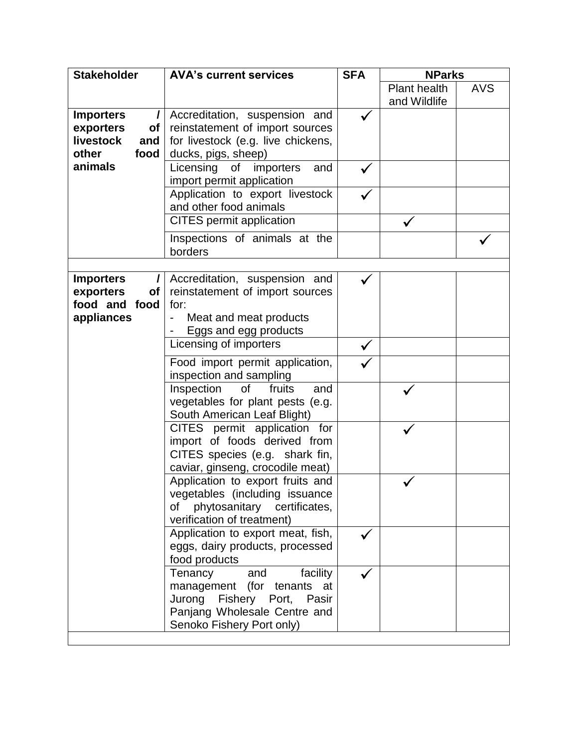| <b>Stakeholder</b>           | <b>AVA's current services</b>                                                                                                                          | <b>SFA</b> | <b>NParks</b> |            |
|------------------------------|--------------------------------------------------------------------------------------------------------------------------------------------------------|------------|---------------|------------|
|                              |                                                                                                                                                        |            | Plant health  | <b>AVS</b> |
|                              |                                                                                                                                                        |            | and Wildlife  |            |
| <b>Importers</b><br>I        | Accreditation, suspension and                                                                                                                          |            |               |            |
| exporters<br>of              | reinstatement of import sources                                                                                                                        |            |               |            |
| livestock<br>and             | for livestock (e.g. live chickens,                                                                                                                     |            |               |            |
| food<br>other                | ducks, pigs, sheep)                                                                                                                                    |            |               |            |
| animals                      | Licensing<br>of importers<br>and<br>import permit application                                                                                          |            |               |            |
|                              | Application to export livestock<br>and other food animals                                                                                              |            |               |            |
|                              | <b>CITES</b> permit application                                                                                                                        |            |               |            |
|                              | Inspections of animals at the<br>borders                                                                                                               |            |               |            |
|                              |                                                                                                                                                        |            |               |            |
| <b>Importers</b><br>$\prime$ | Accreditation, suspension and                                                                                                                          |            |               |            |
| exporters<br>Οf              | reinstatement of import sources                                                                                                                        |            |               |            |
| food and food                | for:                                                                                                                                                   |            |               |            |
| appliances                   | Meat and meat products                                                                                                                                 |            |               |            |
|                              | Eggs and egg products                                                                                                                                  |            |               |            |
|                              | Licensing of importers                                                                                                                                 |            |               |            |
|                              | Food import permit application,<br>inspection and sampling                                                                                             |            |               |            |
|                              | <b>of</b><br>Inspection<br>fruits<br>and<br>vegetables for plant pests (e.g.<br>South American Leaf Blight)                                            |            |               |            |
|                              | CITES permit application for<br>import of foods derived from<br>CITES species (e.g. shark fin,<br>caviar, ginseng, crocodile meat)                     |            |               |            |
|                              | Application to export fruits and<br>vegetables (including issuance<br>phytosanitary certificates,<br>οf<br>verification of treatment)                  |            |               |            |
|                              | Application to export meat, fish,<br>eggs, dairy products, processed<br>food products                                                                  |            |               |            |
|                              | facility<br>Tenancy<br>and<br>management (for tenants at<br>Jurong<br>Fishery Port, Pasir<br>Panjang Wholesale Centre and<br>Senoko Fishery Port only) |            |               |            |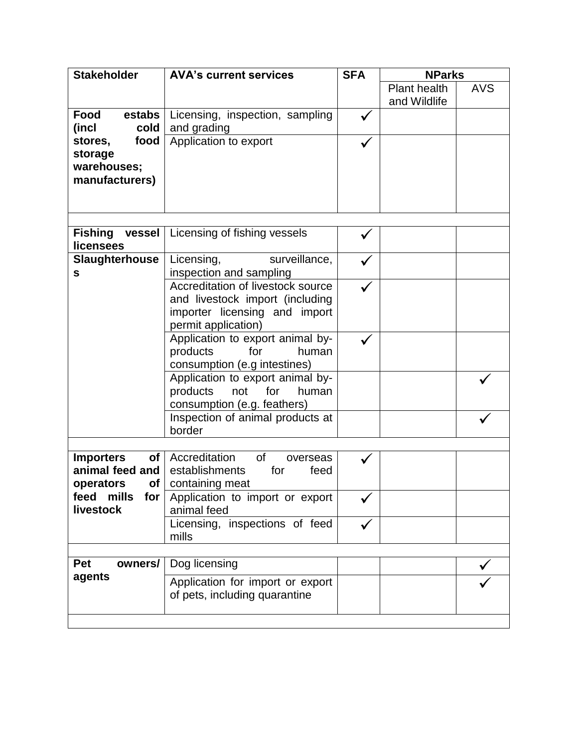| <b>Stakeholder</b>                | <b>AVA's current services</b>                  | <b>SFA</b> | <b>NParks</b>       |            |
|-----------------------------------|------------------------------------------------|------------|---------------------|------------|
|                                   |                                                |            | <b>Plant health</b> | <b>AVS</b> |
|                                   |                                                |            | and Wildlife        |            |
| Food<br>estabs                    | Licensing, inspection, sampling                |            |                     |            |
| cold<br>(incl                     | and grading                                    |            |                     |            |
| food<br>stores,                   | Application to export                          |            |                     |            |
| storage                           |                                                |            |                     |            |
| warehouses;                       |                                                |            |                     |            |
| manufacturers)                    |                                                |            |                     |            |
|                                   |                                                |            |                     |            |
|                                   |                                                |            |                     |            |
| <b>Fishing vessel</b>             | Licensing of fishing vessels                   |            |                     |            |
| <b>licensees</b>                  |                                                |            |                     |            |
| <b>Slaughterhouse</b>             | Licensing,<br>surveillance,                    |            |                     |            |
| S                                 | inspection and sampling                        |            |                     |            |
|                                   | Accreditation of livestock source              |            |                     |            |
|                                   | and livestock import (including                |            |                     |            |
|                                   | importer licensing and import                  |            |                     |            |
|                                   | permit application)                            |            |                     |            |
|                                   | Application to export animal by-               |            |                     |            |
|                                   | products<br>for<br>human                       |            |                     |            |
|                                   | consumption (e.g intestines)                   |            |                     |            |
|                                   | Application to export animal by-               |            |                     |            |
|                                   | products<br>not<br>for<br>human                |            |                     |            |
|                                   | consumption (e.g. feathers)                    |            |                     |            |
|                                   | Inspection of animal products at               |            |                     |            |
|                                   | border                                         |            |                     |            |
|                                   |                                                |            |                     |            |
| <b>Importers</b><br>of            | Accreditation<br>of<br>overseas                |            |                     |            |
| animal feed and                   | establishments<br>for<br>feed                  |            |                     |            |
| operators<br>of <sub>l</sub>      | containing meat                                |            |                     |            |
| mills<br>feed<br>for<br>livestock | Application to import or export<br>animal feed |            |                     |            |
|                                   | Licensing, inspections of feed                 |            |                     |            |
|                                   | mills                                          |            |                     |            |
|                                   |                                                |            |                     |            |
| Pet<br>owners/                    | Dog licensing                                  |            |                     |            |
| agents                            | Application for import or export               |            |                     |            |
|                                   | of pets, including quarantine                  |            |                     |            |
|                                   |                                                |            |                     |            |
|                                   |                                                |            |                     |            |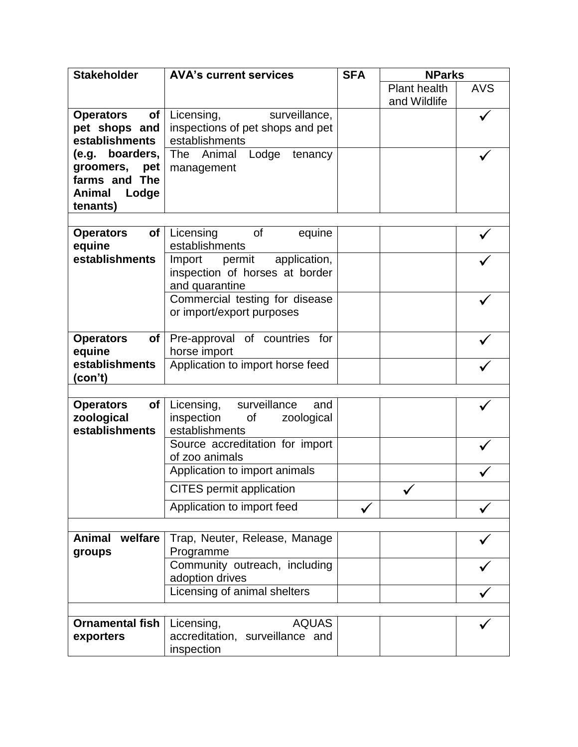| <b>Stakeholder</b>                  | <b>AVA's current services</b>                    | <b>SFA</b> | <b>NParks</b> |            |
|-------------------------------------|--------------------------------------------------|------------|---------------|------------|
|                                     |                                                  |            | Plant health  | <b>AVS</b> |
|                                     |                                                  |            | and Wildlife  |            |
| <b>Operators</b><br>of <sub>l</sub> | Licensing,<br>surveillance,                      |            |               |            |
| pet shops and                       | inspections of pet shops and pet                 |            |               |            |
| establishments                      | establishments                                   |            |               |            |
| (e.g. boarders,                     | The Animal<br>Lodge<br>tenancy                   |            |               |            |
| groomers,<br>pet                    | management                                       |            |               |            |
| farms and The                       |                                                  |            |               |            |
| <b>Animal</b><br>Lodge              |                                                  |            |               |            |
| tenants)                            |                                                  |            |               |            |
| <b>Operators</b><br>of              | <b>of</b><br>Licensing<br>equine                 |            |               |            |
| equine                              | establishments                                   |            |               |            |
| establishments                      | application,<br>Import<br>permit                 |            |               |            |
|                                     | inspection of horses at border                   |            |               |            |
|                                     | and quarantine                                   |            |               |            |
|                                     | Commercial testing for disease                   |            |               |            |
|                                     | or import/export purposes                        |            |               |            |
|                                     |                                                  |            |               |            |
| <b>Operators</b><br>of              | Pre-approval of countries for                    |            |               |            |
| equine                              | horse import                                     |            |               |            |
| establishments                      | Application to import horse feed                 |            |               |            |
| (con't)                             |                                                  |            |               |            |
|                                     |                                                  |            |               |            |
| of<br><b>Operators</b>              | Licensing, surveillance<br>and                   |            |               |            |
| zoological<br>establishments        | inspection<br>of<br>zoological<br>establishments |            |               |            |
|                                     | Source accreditation for import                  |            |               |            |
|                                     | of zoo animals                                   |            |               |            |
|                                     | Application to import animals                    |            |               |            |
|                                     |                                                  |            |               |            |
|                                     | <b>CITES</b> permit application                  |            |               |            |
|                                     | Application to import feed                       |            |               |            |
|                                     |                                                  |            |               |            |
| <b>Animal</b><br>welfare            | Trap, Neuter, Release, Manage                    |            |               |            |
| groups                              | Programme                                        |            |               |            |
|                                     | Community outreach, including                    |            |               |            |
|                                     | adoption drives                                  |            |               |            |
|                                     | Licensing of animal shelters                     |            |               |            |
|                                     |                                                  |            |               |            |
| <b>Ornamental fish</b>              | <b>AQUAS</b><br>Licensing,                       |            |               |            |
| exporters                           | accreditation, surveillance and                  |            |               |            |
|                                     | inspection                                       |            |               |            |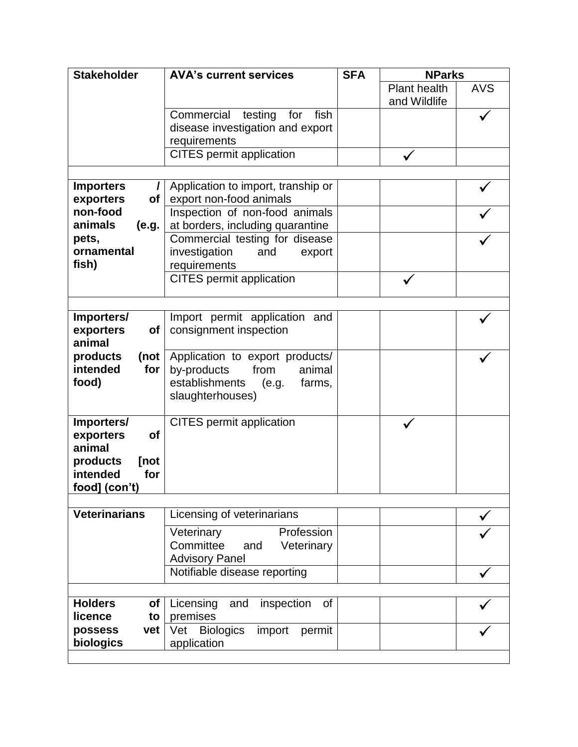| <b>Stakeholder</b>            | <b>AVA's current services</b>                    | <b>SFA</b> | <b>NParks</b> |            |
|-------------------------------|--------------------------------------------------|------------|---------------|------------|
|                               |                                                  |            | Plant health  | <b>AVS</b> |
|                               |                                                  |            | and Wildlife  |            |
|                               | Commercial<br>testing<br>for<br>fish             |            |               |            |
|                               | disease investigation and export                 |            |               |            |
|                               | requirements                                     |            |               |            |
|                               | <b>CITES</b> permit application                  |            |               |            |
|                               |                                                  |            |               |            |
| <b>Importers</b>              | Application to import, tranship or               |            |               |            |
| exporters<br>of               | export non-food animals                          |            |               |            |
| non-food                      | Inspection of non-food animals                   |            |               |            |
| animals<br>(e.g.              | at borders, including quarantine                 |            |               |            |
| pets,                         | Commercial testing for disease                   |            |               |            |
| ornamental                    | investigation<br>and<br>export                   |            |               |            |
| fish)                         | requirements                                     |            |               |            |
|                               | <b>CITES</b> permit application                  |            |               |            |
|                               |                                                  |            |               |            |
|                               |                                                  |            |               |            |
| Importers/                    | Import permit application and                    |            |               |            |
| exporters<br><b>of</b>        | consignment inspection                           |            |               |            |
| animal                        |                                                  |            |               |            |
| products<br>$($ not           | Application to export products/                  |            |               |            |
| intended<br>for               | by-products<br>from<br>animal                    |            |               |            |
| food)                         | establishments<br>(e.g.<br>farms,                |            |               |            |
|                               | slaughterhouses)                                 |            |               |            |
|                               | <b>CITES</b> permit application                  |            |               |            |
| Importers/<br>exporters<br>of |                                                  |            |               |            |
| animal                        |                                                  |            |               |            |
| products<br>[not              |                                                  |            |               |            |
| intended<br>for               |                                                  |            |               |            |
| food] (con't)                 |                                                  |            |               |            |
|                               |                                                  |            |               |            |
| <b>Veterinarians</b>          | Licensing of veterinarians                       |            |               |            |
|                               | Veterinary<br>Profession                         |            |               |            |
|                               | Committee<br>Veterinary<br>and                   |            |               |            |
|                               | <b>Advisory Panel</b>                            |            |               |            |
|                               | Notifiable disease reporting                     |            |               |            |
|                               |                                                  |            |               |            |
| <b>Holders</b>                |                                                  |            |               |            |
| of<br>licence<br>to           | inspection<br>Licensing<br>and<br>of<br>premises |            |               |            |
| possess<br>vet                | <b>Biologics</b><br>Vet<br>permit                |            |               |            |
| biologics                     | import<br>application                            |            |               |            |
|                               |                                                  |            |               |            |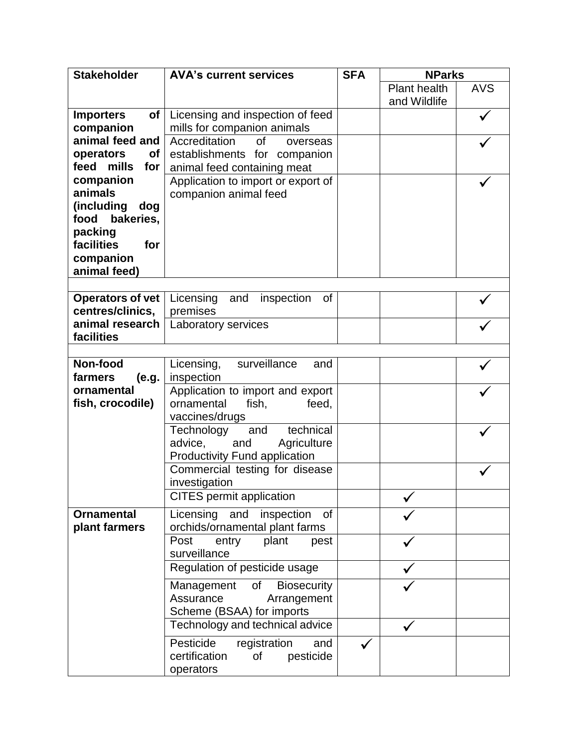| <b>Stakeholder</b>      | <b>AVA's current services</b>          | <b>SFA</b> | <b>NParks</b> |            |
|-------------------------|----------------------------------------|------------|---------------|------------|
|                         |                                        |            | Plant health  | <b>AVS</b> |
|                         |                                        |            | and Wildlife  |            |
| <b>Importers</b>        | of   Licensing and inspection of feed  |            |               |            |
| companion               | mills for companion animals            |            |               |            |
| animal feed and         | Accreditation<br><b>of</b><br>overseas |            |               |            |
| operators<br>of         | establishments for companion           |            |               |            |
| feed mills<br>for       | animal feed containing meat            |            |               |            |
| companion               | Application to import or export of     |            |               |            |
| animals                 | companion animal feed                  |            |               |            |
| (including<br>dog       |                                        |            |               |            |
| food bakeries,          |                                        |            |               |            |
| packing                 |                                        |            |               |            |
| facilities<br>for       |                                        |            |               |            |
| companion               |                                        |            |               |            |
| animal feed)            |                                        |            |               |            |
|                         |                                        |            |               |            |
| <b>Operators of vet</b> | inspection<br>Licensing<br>0f<br>and   |            |               |            |
| centres/clinics,        | premises                               |            |               |            |
| animal research         | Laboratory services                    |            |               |            |
| facilities              |                                        |            |               |            |
|                         |                                        |            |               |            |
| Non-food                | surveillance<br>Licensing,<br>and      |            |               |            |
| (e.g.<br>farmers        | inspection                             |            |               |            |
| ornamental              | Application to import and export       |            |               |            |
| fish, crocodile)        | ornamental<br>fish,<br>feed,           |            |               |            |
|                         | vaccines/drugs                         |            |               |            |
|                         | technical<br>Technology<br>and         |            |               |            |
|                         | advice,<br>Agriculture<br>and          |            |               |            |
|                         | <b>Productivity Fund application</b>   |            |               |            |
|                         | Commercial testing for disease         |            |               |            |
|                         | investigation                          |            |               |            |
|                         | <b>CITES</b> permit application        |            |               |            |
| <b>Ornamental</b>       | Licensing<br>and<br>inspection<br>of   |            |               |            |
| plant farmers           | orchids/ornamental plant farms         |            |               |            |
|                         | Post<br>plant<br>entry<br>pest         |            |               |            |
|                         | surveillance                           |            |               |            |
|                         | Regulation of pesticide usage          |            |               |            |
|                         |                                        |            |               |            |
|                         | of<br><b>Biosecurity</b><br>Management |            |               |            |
|                         | Assurance<br>Arrangement               |            |               |            |
|                         | Scheme (BSAA) for imports              |            |               |            |
|                         | Technology and technical advice        |            |               |            |
|                         | Pesticide<br>registration<br>and       |            |               |            |
|                         | pesticide<br>certification<br>οf       |            |               |            |
|                         | operators                              |            |               |            |